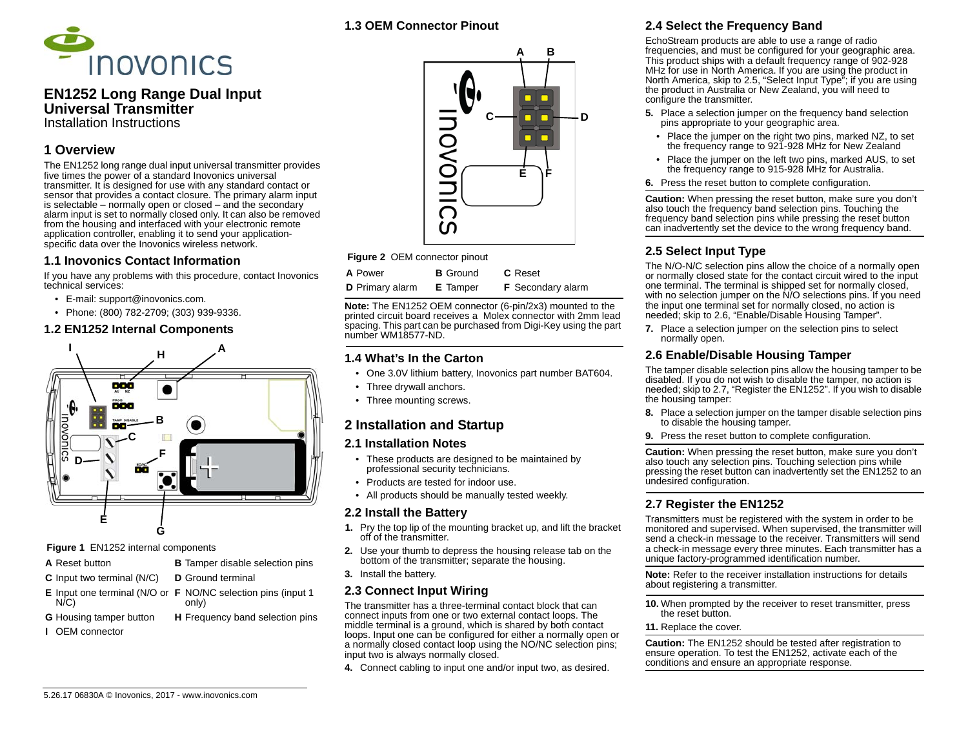

### **EN1252 Long Range Dual Input Universal Transmitter**Installation Instructions

# **1 Overview**

The EN1252 long range dual input universal transmitter provides five times the power of a standard Inovonics universal transmitter. It is designed for use with any standard contact or sensor that provides a contact closure. The primary alarm input is selectable – normally open or closed – and the secondary alarm input is set to normally closed only. It can also be removed from the housing and interfaced with your electronic remote application controller, enabling it to send your applicationspecific data over the Inovonics wireless network.

#### **1.1 Inovonics Contact Information**

If you have any problems with this procedure, contact Inovonics technical services:

- E-mail: support@inovonics.com.
- Phone: (800) 782-2709; (303) 939-9336.

#### **1.2 EN1252 Internal Components**



 **Figure 1** EN1252 internal components

- **A** Reset button
- **C** Input two terminal (N/C) **D** Ground terminal
- **E** Input one terminal (N/O or **F** NO/NC selection pins (input 1 N/C) only)
- **G** Housing tamper button **H** Frequency band selection pins

**B** Tamper disable selection pins

**I** OEM connector

### **1.3 OEM Connector Pinout**



**Figure 2 OEM connector pinout** 

| <b>A</b> Power         | <b>B</b> Ground | <b>C</b> Reset           |
|------------------------|-----------------|--------------------------|
| <b>D</b> Primary alarm | <b>E</b> Tamper | <b>F</b> Secondary alarm |

**Note:** The EN1252 OEM connector (6-pin/2x3) mounted to the printed circuit board receives a Molex connector with 2mm lead spacing. This part can be purchased from Digi-Key using the part number WM18577-ND.

### **1.4 What's In the Carton**

- One 3.0V lithium battery, Inovonics part number BAT604.
- Three drywall anchors.
- Three mounting screws.

# **2 Installation and Startup**

#### **2.1 Installation Notes**

- These products are designed to be maintained by professional security technicians.
- Products are tested for indoor use.
- All products should be manually tested weekly.

### **2.2 Install the Battery**

- **1.** Pry the top lip of the mounting bracket up, and lift the bracket off of the transmitter.
- **2.** Use your thumb to depress the housing release tab on the bottom of the transmitter; separate the housing.
- **3.** Install the battery.

### **2.3 Connect Input Wiring**

The transmitter has a three-terminal contact block that can connect inputs from one or two external contact loops. The middle terminal is a ground, which is shared by both contact loops. Input one can be configured for either a normally open or a normally closed contact loop using the NO/NC selection pins; input two is always normally closed.

**4.** Connect cabling to input one and/or input two, as desired.

# **2.4 Select the Frequency Band**

EchoStream products are able to use a range of radio frequencies, and must be configured for your geographic area. This product ships with a default frequency range of 902-928 MHz for use in North America. If you are using the product in North America, skip to 2.5, "Select Input Type"; if you are using the product in Australia or New Zealand, you will need to configure the transmitter.

- **5.** Place a selection jumper on the frequency band selection pins appropriate to your geographic area.
	- Place the jumper on the right two pins, marked NZ, to set the frequency range to 921-928 MHz for New Zealand
- Place the jumper on the left two pins, marked AUS, to set the frequency range to 915-928 MHz for Australia.
- **6.** Press the reset button to complete configuration.

**Caution:** When pressing the reset button, make sure you don't also touch the frequency band selection pins. Touching the frequency band selection pins while pressing the reset button can inadvertently set the device to the wrong frequency band.

# **2.5 Select Input Type**

The N/O-N/C selection pins allow the choice of a normally open or normally closed state for the contact circuit wired to the input one terminal. The terminal is shipped set for normally closed, with no selection jumper on the N/O selections pins. If you need the input one terminal set for normally closed, no action is needed; skip to 2.6, "Enable/Disable Housing Tamper".

**7.** Place a selection jumper on the selection pins to select normally open.

# **2.6 Enable/Disable Housing Tamper**

The tamper disable selection pins allow the housing tamper to be disabled. If you do not wish to disable the tamper, no action is needed; skip to 2.7, "Register the EN1252". If you wish to disable the housing tamper:

- **8.** Place a selection jumper on the tamper disable selection pins to disable the housing tamper.
- **9.** Press the reset button to complete configuration.

**Caution:** When pressing the reset button, make sure you don't also touch any selection pins. Touching selection pins while pressing the reset button can inadvertently set the EN1252 to an undesired configuration.

# **2.7 Register the EN1252**

Transmitters must be registered with the system in order to be monitored and supervised. When supervised, the transmitter will send a check-in message to the receiver. Transmitters will send a check-in message every three minutes. Each transmitter has a unique factory-programmed identification number.

**Note:** Refer to the receiver installation instructions for details about registering a transmitter.

**10.** When prompted by the receiver to reset transmitter, press the reset button.

#### **11.** Replace the cover.

**Caution:** The EN1252 should be tested after registration to ensure operation. To test the EN1252, activate each of the conditions and ensure an appropriate response.